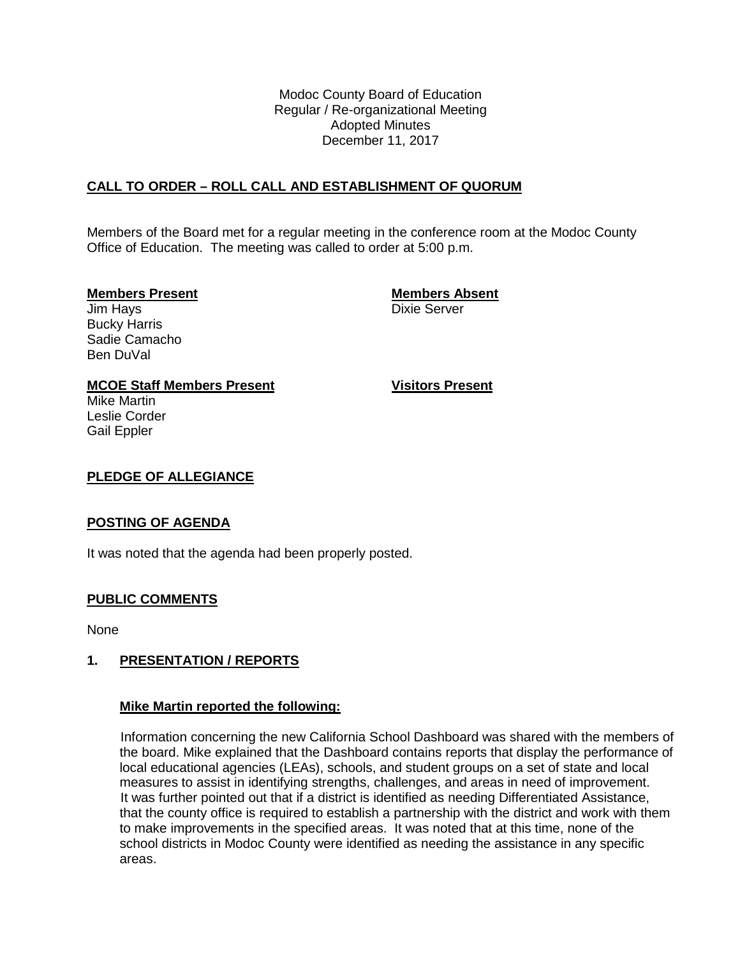Modoc County Board of Education Regular / Re-organizational Meeting Adopted Minutes December 11, 2017

# **CALL TO ORDER – ROLL CALL AND ESTABLISHMENT OF QUORUM**

Members of the Board met for a regular meeting in the conference room at the Modoc County Office of Education. The meeting was called to order at 5:00 p.m.

### **Members Present Members Absent**

Jim Hays **Dixie Server** Bucky Harris Sadie Camacho Ben DuVal

**MCOE Staff Members Present Visitors Present**

Leslie Corder Gail Eppler

Mike Martin

### **PLEDGE OF ALLEGIANCE**

## **POSTING OF AGENDA**

It was noted that the agenda had been properly posted.

## **PUBLIC COMMENTS**

None

## **1. PRESENTATION / REPORTS**

### **Mike Martin reported the following:**

Information concerning the new California School Dashboard was shared with the members of the board. Mike explained that the Dashboard contains reports that display the performance of local educational agencies (LEAs), schools, and student groups on a set of state and local measures to assist in identifying strengths, challenges, and areas in need of improvement. It was further pointed out that if a district is identified as needing Differentiated Assistance, that the county office is required to establish a partnership with the district and work with them to make improvements in the specified areas. It was noted that at this time, none of the school districts in Modoc County were identified as needing the assistance in any specific areas.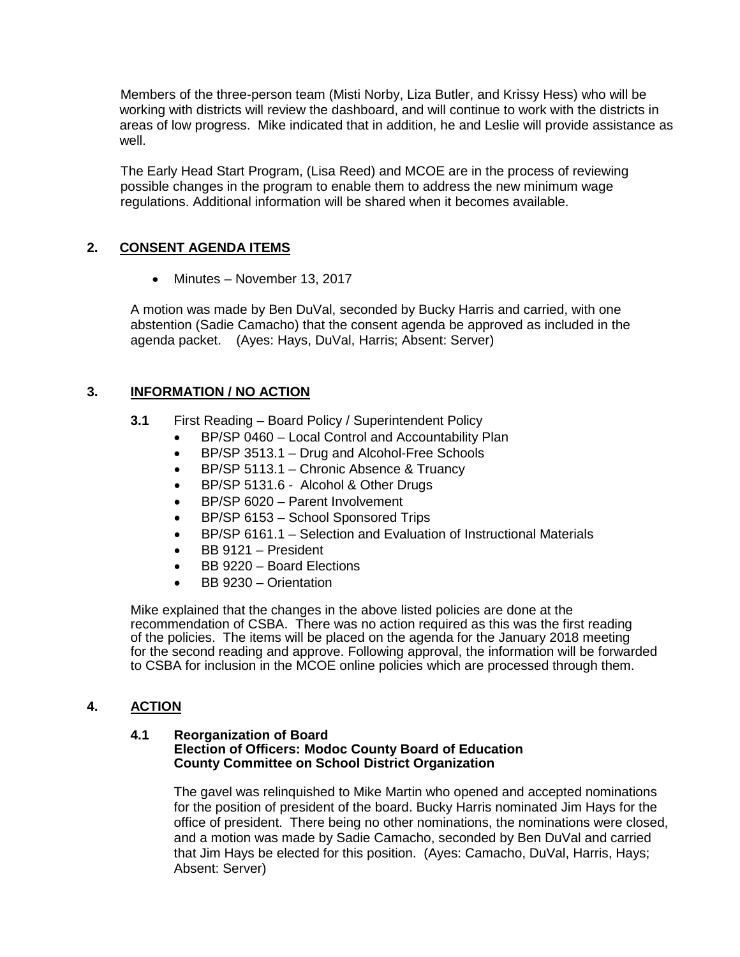Members of the three-person team (Misti Norby, Liza Butler, and Krissy Hess) who will be working with districts will review the dashboard, and will continue to work with the districts in areas of low progress. Mike indicated that in addition, he and Leslie will provide assistance as well.

The Early Head Start Program, (Lisa Reed) and MCOE are in the process of reviewing possible changes in the program to enable them to address the new minimum wage regulations. Additional information will be shared when it becomes available.

# **2. CONSENT AGENDA ITEMS**

• Minutes – November 13, 2017

A motion was made by Ben DuVal, seconded by Bucky Harris and carried, with one abstention (Sadie Camacho) that the consent agenda be approved as included in the agenda packet. (Ayes: Hays, DuVal, Harris; Absent: Server)

# **3. INFORMATION / NO ACTION**

- **3.1** First Reading Board Policy / Superintendent Policy
	- BP/SP 0460 Local Control and Accountability Plan
	- BP/SP 3513.1 Drug and Alcohol-Free Schools
	- BP/SP 5113.1 Chronic Absence & Truancy
	- BP/SP 5131.6 Alcohol & Other Drugs
	- BP/SP 6020 Parent Involvement
	- BP/SP 6153 School Sponsored Trips
	- BP/SP 6161.1 Selection and Evaluation of Instructional Materials
	- BB 9121 President
	- BB 9220 Board Elections
	- BB 9230 Orientation

Mike explained that the changes in the above listed policies are done at the recommendation of CSBA. There was no action required as this was the first reading of the policies. The items will be placed on the agenda for the January 2018 meeting for the second reading and approve. Following approval, the information will be forwarded to CSBA for inclusion in the MCOE online policies which are processed through them.

## **4. ACTION**

#### **4.1 Reorganization of Board Election of Officers: Modoc County Board of Education County Committee on School District Organization**

The gavel was relinquished to Mike Martin who opened and accepted nominations for the position of president of the board. Bucky Harris nominated Jim Hays for the office of president. There being no other nominations, the nominations were closed, and a motion was made by Sadie Camacho, seconded by Ben DuVal and carried that Jim Hays be elected for this position. (Ayes: Camacho, DuVal, Harris, Hays; Absent: Server)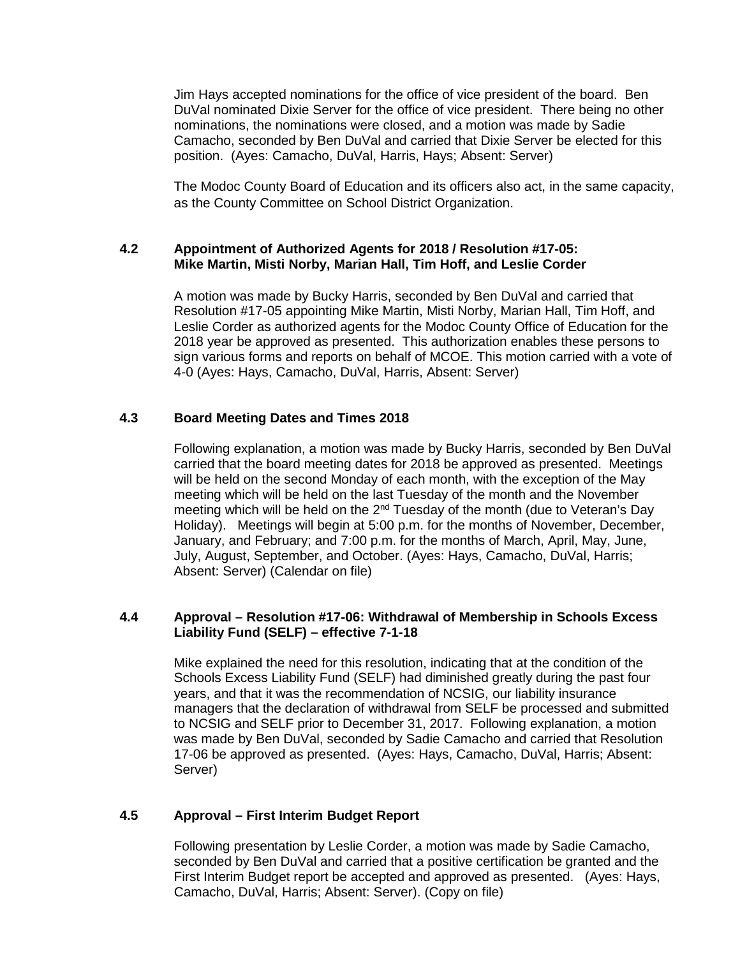Jim Hays accepted nominations for the office of vice president of the board. Ben DuVal nominated Dixie Server for the office of vice president. There being no other nominations, the nominations were closed, and a motion was made by Sadie Camacho, seconded by Ben DuVal and carried that Dixie Server be elected for this position. (Ayes: Camacho, DuVal, Harris, Hays; Absent: Server)

The Modoc County Board of Education and its officers also act, in the same capacity, as the County Committee on School District Organization.

### **4.2 Appointment of Authorized Agents for 2018 / Resolution #17-05: Mike Martin, Misti Norby, Marian Hall, Tim Hoff, and Leslie Corder**

A motion was made by Bucky Harris, seconded by Ben DuVal and carried that Resolution #17-05 appointing Mike Martin, Misti Norby, Marian Hall, Tim Hoff, and Leslie Corder as authorized agents for the Modoc County Office of Education for the 2018 year be approved as presented. This authorization enables these persons to sign various forms and reports on behalf of MCOE. This motion carried with a vote of 4-0 (Ayes: Hays, Camacho, DuVal, Harris, Absent: Server)

## **4.3 Board Meeting Dates and Times 2018**

Following explanation, a motion was made by Bucky Harris, seconded by Ben DuVal carried that the board meeting dates for 2018 be approved as presented. Meetings will be held on the second Monday of each month, with the exception of the May meeting which will be held on the last Tuesday of the month and the November meeting which will be held on the 2<sup>nd</sup> Tuesday of the month (due to Veteran's Day Holiday). Meetings will begin at 5:00 p.m. for the months of November, December, January, and February; and 7:00 p.m. for the months of March, April, May, June, July, August, September, and October. (Ayes: Hays, Camacho, DuVal, Harris; Absent: Server) (Calendar on file)

### **4.4 Approval – Resolution #17-06: Withdrawal of Membership in Schools Excess Liability Fund (SELF) – effective 7-1-18**

Mike explained the need for this resolution, indicating that at the condition of the Schools Excess Liability Fund (SELF) had diminished greatly during the past four years, and that it was the recommendation of NCSIG, our liability insurance managers that the declaration of withdrawal from SELF be processed and submitted to NCSIG and SELF prior to December 31, 2017. Following explanation, a motion was made by Ben DuVal, seconded by Sadie Camacho and carried that Resolution 17-06 be approved as presented. (Ayes: Hays, Camacho, DuVal, Harris; Absent: Server)

## **4.5 Approval – First Interim Budget Report**

Following presentation by Leslie Corder, a motion was made by Sadie Camacho, seconded by Ben DuVal and carried that a positive certification be granted and the First Interim Budget report be accepted and approved as presented. (Ayes: Hays, Camacho, DuVal, Harris; Absent: Server). (Copy on file)